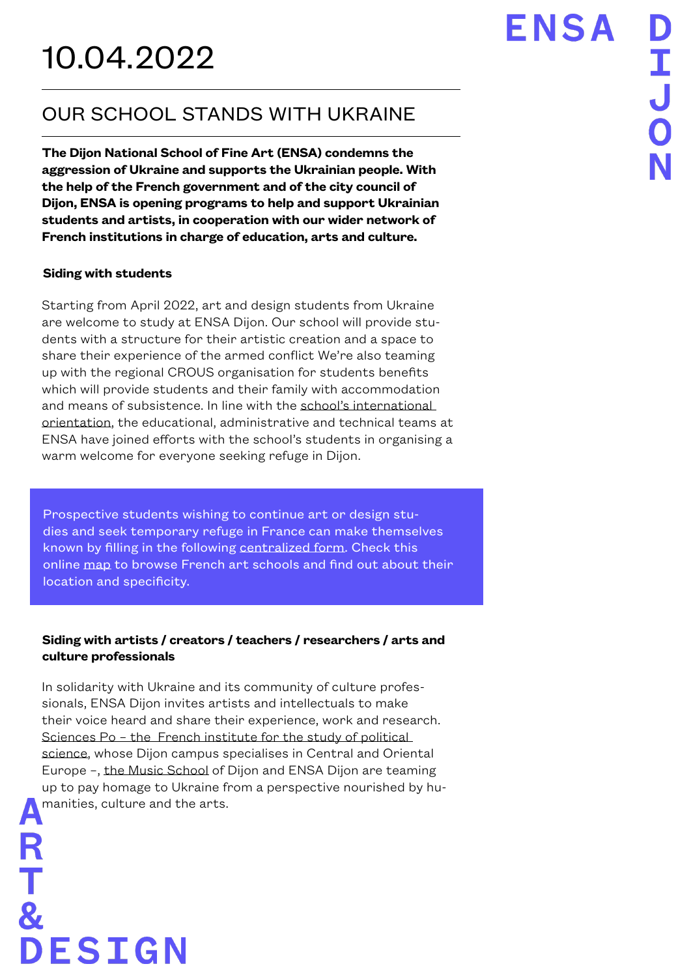## OUR SCHOOL STANDS WITH UKRAINE

**The Dijon National School of Fine Art (ENSA) condemns the aggression of Ukraine and supports the Ukrainian people. With the help of the French government and of the city council of Dijon, ENSA is opening programs to help and support Ukrainian students and artists, in cooperation with our wider network of French institutions in charge of education, arts and culture.**

## **Siding with students**

DESIGN

Starting from April 2022, art and design students from Ukraine are welcome to study at ENSA Dijon. Our school will provide students with a structure for their artistic creation and a space to share their experience of the armed conflict We're also teaming up with the regional CROUS organisation for students benefits which will provide students and their family with accommodation and means of subsistence. In line with [the school's international](https://ensa-dijon.fr/nous-rejoindre/echanges-internationaux/)  [orientation,](https://ensa-dijon.fr/nous-rejoindre/echanges-internationaux/) the educational, administrative and technical teams at ENSA have joined efforts with the school's students in organising a warm welcome for everyone seeking refuge in Dijon.

Prospective students wishing to continue art or design studies and seek temporary refuge in France can make themselves known by filling in the following [centralized form.](https://docs.google.com/forms/d/e/1FAIpQLSdJ0WCt1Rth3edOu1UpJNfZA8fbII8Fin7IkVQTVh70zKph4w/viewform) Check this online [map](https://andea.fr/en/schools/national-network-map/) to browse French art schools and find out about their location and specificity.

## **Siding with artists / creators / teachers / researchers / arts and culture professionals**

In solidarity with Ukraine and its community of culture professionals, ENSA Dijon invites artists and intellectuals to make their voice heard and share their experience, work and research. Sciences Po – the French institute for the study of political [science](https://www.sciencespo.fr/college/en.html), whose Dijon campus specialises in Central and Oriental Europe –, [the Music School of Dijon](https://www.esmbourgognefranchecomte.fr/en) and ENSA Dijon are teaming up to pay homage to Ukraine from a perspective nourished by humanities, culture and the arts.